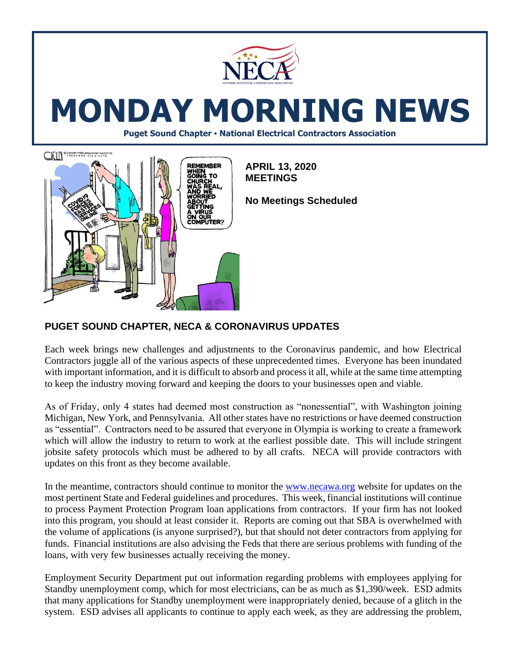

# **MONDAY MORNING NEWS**

**Puget Sound Chapter • National Electrical Contractors Association**



## **PUGET SOUND CHAPTER, NECA & CORONAVIRUS UPDATES**

Each week brings new challenges and adjustments to the Coronavirus pandemic, and how Electrical Contractors juggle all of the various aspects of these unprecedented times. Everyone has been inundated with important information, and it is difficult to absorb and process it all, while at the same time attempting to keep the industry moving forward and keeping the doors to your businesses open and viable.

As of Friday, only 4 states had deemed most construction as "nonessential", with Washington joining Michigan, New York, and Pennsylvania. All other states have no restrictions or have deemed construction as "essential". Contractors need to be assured that everyone in Olympia is working to create a framework which will allow the industry to return to work at the earliest possible date. This will include stringent jobsite safety protocols which must be adhered to by all crafts. NECA will provide contractors with updates on this front as they become available.

In the meantime, contractors should continue to monitor the [www.necawa.org](http://www.necawa.org/) website for updates on the most pertinent State and Federal guidelines and procedures. This week, financial institutions will continue to process Payment Protection Program loan applications from contractors. If your firm has not looked into this program, you should at least consider it. Reports are coming out that SBA is overwhelmed with the volume of applications (is anyone surprised?), but that should not deter contractors from applying for funds. Financial institutions are also advising the Feds that there are serious problems with funding of the loans, with very few businesses actually receiving the money.

Employment Security Department put out information regarding problems with employees applying for Standby unemployment comp, which for most electricians, can be as much as \$1,390/week. ESD admits that many applications for Standby unemployment were inappropriately denied, because of a glitch in the system. ESD advises all applicants to continue to apply each week, as they are addressing the problem,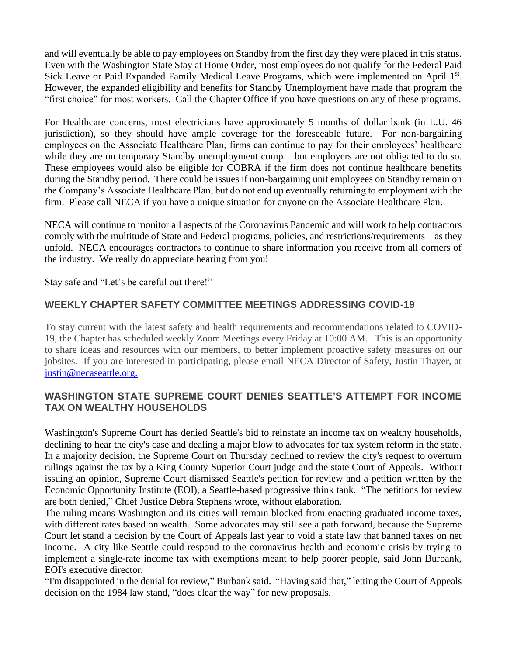and will eventually be able to pay employees on Standby from the first day they were placed in this status. Even with the Washington State Stay at Home Order, most employees do not qualify for the Federal Paid Sick Leave or Paid Expanded Family Medical Leave Programs, which were implemented on April 1st. However, the expanded eligibility and benefits for Standby Unemployment have made that program the "first choice" for most workers. Call the Chapter Office if you have questions on any of these programs.

For Healthcare concerns, most electricians have approximately 5 months of dollar bank (in L.U. 46 jurisdiction), so they should have ample coverage for the foreseeable future. For non-bargaining employees on the Associate Healthcare Plan, firms can continue to pay for their employees' healthcare while they are on temporary Standby unemployment comp – but employers are not obligated to do so. These employees would also be eligible for COBRA if the firm does not continue healthcare benefits during the Standby period. There could be issues if non-bargaining unit employees on Standby remain on the Company's Associate Healthcare Plan, but do not end up eventually returning to employment with the firm. Please call NECA if you have a unique situation for anyone on the Associate Healthcare Plan.

NECA will continue to monitor all aspects of the Coronavirus Pandemic and will work to help contractors comply with the multitude of State and Federal programs, policies, and restrictions/requirements – as they unfold. NECA encourages contractors to continue to share information you receive from all corners of the industry. We really do appreciate hearing from you!

Stay safe and "Let's be careful out there!"

#### **WEEKLY CHAPTER SAFETY COMMITTEE MEETINGS ADDRESSING COVID-19**

To stay current with the latest safety and health requirements and recommendations related to COVID-19, the Chapter has scheduled weekly Zoom Meetings every Friday at 10:00 AM. This is an opportunity to share ideas and resources with our members, to better implement proactive safety measures on our jobsites. If you are interested in participating, please email NECA Director of Safety, Justin Thayer, at [justin@necaseattle.org.](mailto:justin@necaseattle.org)

#### **WASHINGTON STATE SUPREME COURT DENIES SEATTLE'S ATTEMPT FOR INCOME TAX ON WEALTHY HOUSEHOLDS**

Washington's Supreme Court has denied Seattle's bid to reinstate an income tax on wealthy households, declining to hear the city's case and dealing a major blow to advocates for tax system reform in the state. In a majority decision, the Supreme Court on Thursday declined to review the city's request to overturn rulings against the tax by a King County Superior Court judge and the state Court of Appeals. Without issuing an opinion, Supreme Court dismissed Seattle's petition for review and a petition written by the Economic Opportunity Institute (EOI), a Seattle-based progressive think tank. "The petitions for review are both denied," Chief Justice Debra Stephens wrote, without elaboration.

The ruling means Washington and its cities will remain blocked from enacting graduated income taxes, with different rates based on wealth. Some advocates may still see a path forward, because the Supreme Court let stand a decision by the Court of Appeals last year to void a state law that banned taxes on net income. A city like Seattle could respond to the coronavirus health and economic crisis by trying to implement a single-rate income tax with exemptions meant to help poorer people, said John Burbank, EOI's executive director.

"I'm disappointed in the denial for review," Burbank said. "Having said that," letting the Court of Appeals decision on the 1984 law stand, "does clear the way" for new proposals.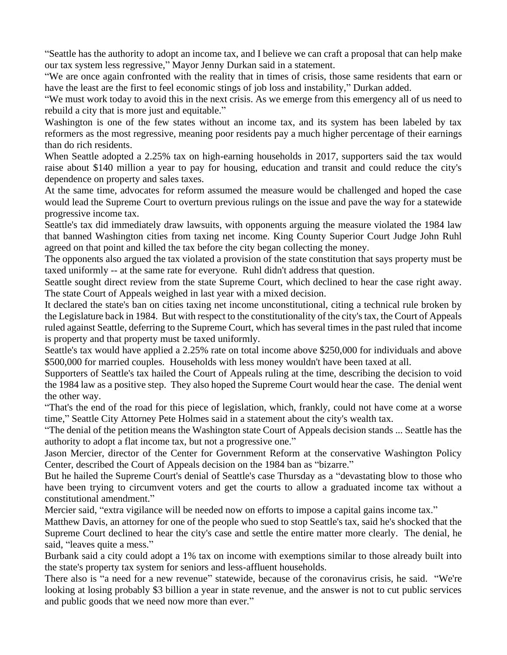"Seattle has the authority to adopt an income tax, and I believe we can craft a proposal that can help make our tax system less regressive," Mayor Jenny Durkan said in a statement.

"We are once again confronted with the reality that in times of crisis, those same residents that earn or have the least are the first to feel economic stings of job loss and instability," Durkan added.

"We must work today to avoid this in the next crisis. As we emerge from this emergency all of us need to rebuild a city that is more just and equitable."

Washington is one of the few states without an income tax, and its system has been labeled by tax reformers as the most regressive, meaning poor residents pay a much higher percentage of their earnings than do rich residents.

When Seattle adopted a 2.25% tax on high-earning households in 2017, supporters said the tax would raise about \$140 million a year to pay for housing, education and transit and could reduce the city's dependence on property and sales taxes.

At the same time, advocates for reform assumed the measure would be challenged and hoped the case would lead the Supreme Court to overturn previous rulings on the issue and pave the way for a statewide progressive income tax.

Seattle's tax did immediately draw lawsuits, with opponents arguing the measure violated the 1984 law that banned Washington cities from taxing net income. King County Superior Court Judge John Ruhl agreed on that point and killed the tax before the city began collecting the money.

The opponents also argued the tax violated a provision of the state constitution that says property must be taxed uniformly -- at the same rate for everyone. Ruhl didn't address that question.

Seattle sought direct review from the state Supreme Court, which declined to hear the case right away. The state Court of Appeals weighed in last year with a mixed decision.

It declared the state's ban on cities taxing net income unconstitutional, citing a technical rule broken by the Legislature back in 1984. But with respect to the constitutionality of the city's tax, the Court of Appeals ruled against Seattle, deferring to the Supreme Court, which has several times in the past ruled that income is property and that property must be taxed uniformly.

Seattle's tax would have applied a 2.25% rate on total income above \$250,000 for individuals and above \$500,000 for married couples. Households with less money wouldn't have been taxed at all.

Supporters of Seattle's tax hailed the Court of Appeals ruling at the time, describing the decision to void the 1984 law as a positive step. They also hoped the Supreme Court would hear the case. The denial went the other way.

"That's the end of the road for this piece of legislation, which, frankly, could not have come at a worse time," Seattle City Attorney Pete Holmes said in a statement about the city's wealth tax.

"The denial of the petition means the Washington state Court of Appeals decision stands ... Seattle has the authority to adopt a flat income tax, but not a progressive one."

Jason Mercier, director of the Center for Government Reform at the conservative Washington Policy Center, described the Court of Appeals decision on the 1984 ban as "bizarre."

But he hailed the Supreme Court's denial of Seattle's case Thursday as a "devastating blow to those who have been trying to circumvent voters and get the courts to allow a graduated income tax without a constitutional amendment."

Mercier said, "extra vigilance will be needed now on efforts to impose a capital gains income tax."

Matthew Davis, an attorney for one of the people who sued to stop Seattle's tax, said he's shocked that the Supreme Court declined to hear the city's case and settle the entire matter more clearly. The denial, he said, "leaves quite a mess."

Burbank said a city could adopt a 1% tax on income with exemptions similar to those already built into the state's property tax system for seniors and less-affluent households.

There also is "a need for a new revenue" statewide, because of the coronavirus crisis, he said. "We're looking at losing probably \$3 billion a year in state revenue, and the answer is not to cut public services and public goods that we need now more than ever."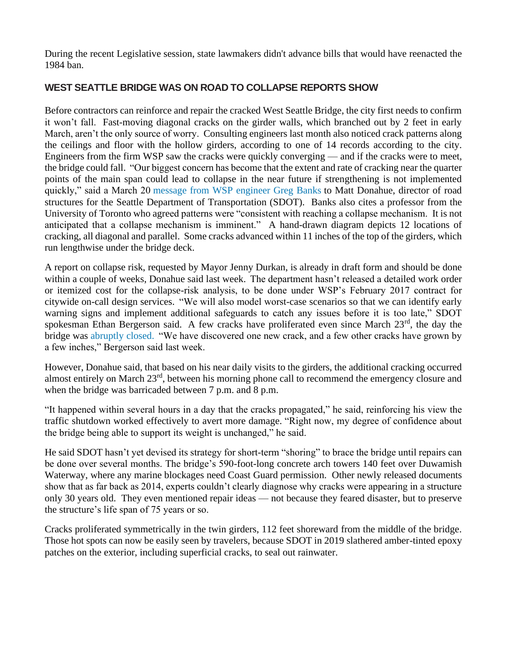During the recent Legislative session, state lawmakers didn't advance bills that would have reenacted the 1984 ban.

#### **WEST SEATTLE BRIDGE WAS ON ROAD TO COLLAPSE REPORTS SHOW**

Before contractors can reinforce and repair the cracked West Seattle Bridge, the city first needs to confirm it won't fall. Fast-moving diagonal cracks on the girder walls, which branched out by 2 feet in early March, aren't the only source of worry. Consulting engineers last month also noticed crack patterns along the ceilings and floor with the hollow girders, according to one of 14 records according to the city. Engineers from the firm WSP saw the cracks were quickly converging — and if the cracks were to meet, the bridge could fall. "Our biggest concern has become that the extent and rate of cracking near the quarter points of the main span could lead to collapse in the near future if strengthening is not implemented quickly," said a March 20 [message from WSP engineer Greg Banks](https://www.seattle.gov/Documents/Departments/SDOT/BridgeStairsProgram/West%20Seattle%20Bridge/2020-03-20_WSP_WestSeattleBridge_UpdatedRecommendations.pdf) to Matt Donahue, director of road structures for the Seattle Department of Transportation (SDOT). Banks also cites a professor from the University of Toronto who agreed patterns were "consistent with reaching a collapse mechanism. It is not anticipated that a collapse mechanism is imminent." A hand-drawn diagram depicts 12 locations of cracking, all diagonal and parallel. Some cracks advanced within 11 inches of the top of the girders, which run lengthwise under the bridge deck.

A report on collapse risk, requested by Mayor Jenny Durkan, is already in draft form and should be done within a couple of weeks, Donahue said last week. The department hasn't released a detailed work order or itemized cost for the collapse-risk analysis, to be done under WSP's February 2017 contract for citywide on-call design services. "We will also model worst-case scenarios so that we can identify early warning signs and implement additional safeguards to catch any issues before it is too late," SDOT spokesman Ethan Bergerson said. A few cracks have proliferated even since March 23<sup>rd</sup>, the day the bridge was [abruptly closed.](https://www.seattletimes.com/seattle-news/transportation/the-west-seattle-bridge-closes-tonight-for-major-repairs-that-could-take-several-weeks/) "We have discovered one new crack, and a few other cracks have grown by a few inches," Bergerson said last week.

However, Donahue said, that based on his near daily visits to the girders, the additional cracking occurred almost entirely on March 23rd, between his morning phone call to recommend the emergency closure and when the bridge was barricaded between 7 p.m. and 8 p.m.

"It happened within several hours in a day that the cracks propagated," he said, reinforcing his view the traffic shutdown worked effectively to avert more damage. "Right now, my degree of confidence about the bridge being able to support its weight is unchanged," he said.

He said SDOT hasn't yet devised its strategy for short-term "shoring" to brace the bridge until repairs can be done over several months. The bridge's 590-foot-long concrete arch towers 140 feet over Duwamish Waterway, where any marine blockages need Coast Guard permission. Other newly released documents show that as far back as 2014, experts couldn't clearly diagnose why cracks were appearing in a structure only 30 years old. They even mentioned repair ideas — not because they feared disaster, but to preserve the structure's life span of 75 years or so.

Cracks proliferated symmetrically in the twin girders, 112 feet shoreward from the middle of the bridge. Those hot spots can now be easily seen by travelers, because SDOT in 2019 slathered amber-tinted epoxy patches on the exterior, including superficial cracks, to seal out rainwater.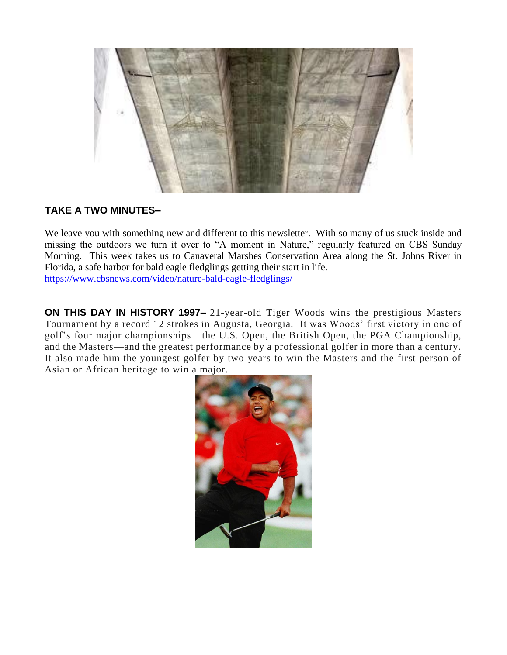

### **TAKE A TWO MINUTES–**

We leave you with something new and different to this newsletter. With so many of us stuck inside and missing the outdoors we turn it over to "A moment in Nature," regularly featured on CBS Sunday Morning. This week takes us to Canaveral Marshes Conservation Area along the St. Johns River in Florida, a safe harbor for bald eagle fledglings getting their start in life. <https://www.cbsnews.com/video/nature-bald-eagle-fledglings/>

**ON THIS DAY IN HISTORY 1997–** 21-year-old Tiger Woods wins the prestigious Masters Tournament by a record 12 strokes in Augusta, Georgia. It was Woods' first victory in one of golf's four major championships—the U.S. Open, the British Open, the PGA Championship, and the Masters—and the greatest performance by a professional golfer in more than a century. It also made him the youngest golfer by two years to win the Masters and the first person of Asian or African heritage to win a major.